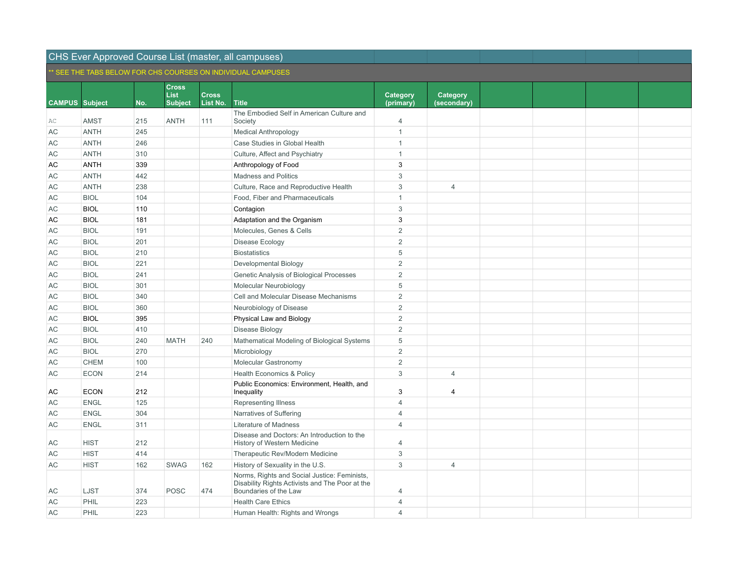|                       |             |     |                             |              | SEE THE TABS BELOW FOR CHS COURSES ON INDIVIDUAL CAMPUSES                                                                |                |                |  |  |
|-----------------------|-------------|-----|-----------------------------|--------------|--------------------------------------------------------------------------------------------------------------------------|----------------|----------------|--|--|
|                       |             |     | <b>Cross</b><br><b>List</b> | <b>Cross</b> |                                                                                                                          | Category       | Category       |  |  |
| <b>CAMPUS Subject</b> |             | No. | <b>Subject</b>              | List No.     | <b>Title</b>                                                                                                             | (primary)      | (secondary)    |  |  |
|                       |             |     |                             |              | The Embodied Self in American Culture and                                                                                |                |                |  |  |
| AС                    | <b>AMST</b> | 215 | <b>ANTH</b>                 | 111          | Society                                                                                                                  | $\overline{4}$ |                |  |  |
| AC                    | <b>ANTH</b> | 245 |                             |              | <b>Medical Anthropology</b>                                                                                              | $\mathbf{1}$   |                |  |  |
| AC                    | <b>ANTH</b> | 246 |                             |              | Case Studies in Global Health                                                                                            | $\mathbf{1}$   |                |  |  |
| AC                    | <b>ANTH</b> | 310 |                             |              | Culture, Affect and Psychiatry                                                                                           | $\mathbf{1}$   |                |  |  |
| AC                    | <b>ANTH</b> | 339 |                             |              | Anthropology of Food                                                                                                     | $\mathbf{3}$   |                |  |  |
| AC                    | <b>ANTH</b> | 442 |                             |              | <b>Madness and Politics</b>                                                                                              | $\sqrt{3}$     |                |  |  |
| AC                    | <b>ANTH</b> | 238 |                             |              | Culture, Race and Reproductive Health                                                                                    | $\sqrt{3}$     | $\overline{4}$ |  |  |
| AC                    | <b>BIOL</b> | 104 |                             |              | Food, Fiber and Pharmaceuticals                                                                                          | $\mathbf{1}$   |                |  |  |
| AC                    | <b>BIOL</b> | 110 |                             |              | Contagion                                                                                                                | 3              |                |  |  |
| AC                    | <b>BIOL</b> | 181 |                             |              | Adaptation and the Organism                                                                                              | $\mathbf{3}$   |                |  |  |
| AC                    | <b>BIOL</b> | 191 |                             |              | Molecules, Genes & Cells                                                                                                 | $\overline{2}$ |                |  |  |
| AC                    | <b>BIOL</b> | 201 |                             |              | Disease Ecology                                                                                                          | $\overline{2}$ |                |  |  |
| AC                    | <b>BIOL</b> | 210 |                             |              | <b>Biostatistics</b>                                                                                                     | 5              |                |  |  |
| AC                    | <b>BIOL</b> | 221 |                             |              | Developmental Biology                                                                                                    | $\overline{2}$ |                |  |  |
| AC                    | <b>BIOL</b> | 241 |                             |              | Genetic Analysis of Biological Processes                                                                                 | $\overline{2}$ |                |  |  |
| AC                    | <b>BIOL</b> | 301 |                             |              | Molecular Neurobiology                                                                                                   | 5              |                |  |  |
| AC                    | <b>BIOL</b> | 340 |                             |              | Cell and Molecular Disease Mechanisms                                                                                    | $\overline{2}$ |                |  |  |
| <b>AC</b>             | <b>BIOL</b> | 360 |                             |              | Neurobiology of Disease                                                                                                  | $\overline{2}$ |                |  |  |
| AC                    | <b>BIOL</b> | 395 |                             |              | Physical Law and Biology                                                                                                 | $\overline{2}$ |                |  |  |
| AC                    | <b>BIOL</b> | 410 |                             |              | Disease Biology                                                                                                          | $\overline{2}$ |                |  |  |
| AC                    | <b>BIOL</b> | 240 | <b>MATH</b>                 | 240          | Mathematical Modeling of Biological Systems                                                                              | 5              |                |  |  |
| AC                    | <b>BIOL</b> | 270 |                             |              | Microbiology                                                                                                             | $\overline{2}$ |                |  |  |
| AC                    | <b>CHEM</b> | 100 |                             |              | Molecular Gastronomy                                                                                                     | $\overline{2}$ |                |  |  |
| AC                    | <b>ECON</b> | 214 |                             |              | <b>Health Economics &amp; Policy</b>                                                                                     | $\sqrt{3}$     | $\overline{4}$ |  |  |
| АC                    | <b>ECON</b> | 212 |                             |              | Public Economics: Environment, Health, and<br>Inequality                                                                 | 3              | $\overline{4}$ |  |  |
| AC                    | <b>ENGL</b> | 125 |                             |              | Representing Illness                                                                                                     | $\overline{4}$ |                |  |  |
| АC                    | <b>ENGL</b> | 304 |                             |              | Narratives of Suffering                                                                                                  | $\overline{4}$ |                |  |  |
| АC                    | <b>ENGL</b> | 311 |                             |              | Literature of Madness                                                                                                    | $\overline{4}$ |                |  |  |
| АC                    | <b>HIST</b> | 212 |                             |              | Disease and Doctors: An Introduction to the<br>History of Western Medicine                                               | $\overline{4}$ |                |  |  |
| AC                    | <b>HIST</b> | 414 |                             |              | Therapeutic Rev/Modern Medicine                                                                                          | $\sqrt{3}$     |                |  |  |
| AC                    | <b>HIST</b> | 162 | <b>SWAG</b>                 | 162          | History of Sexuality in the U.S.                                                                                         | 3              | $\overline{4}$ |  |  |
| AC                    | LJST        | 374 | <b>POSC</b>                 | 474          | Norms, Rights and Social Justice: Feminists,<br>Disability Rights Activists and The Poor at the<br>Boundaries of the Law | 4              |                |  |  |
| AC                    | PHIL        | 223 |                             |              | <b>Health Care Ethics</b>                                                                                                | $\overline{4}$ |                |  |  |
| AC                    | PHIL        | 223 |                             |              | Human Health: Rights and Wrongs                                                                                          | $\overline{4}$ |                |  |  |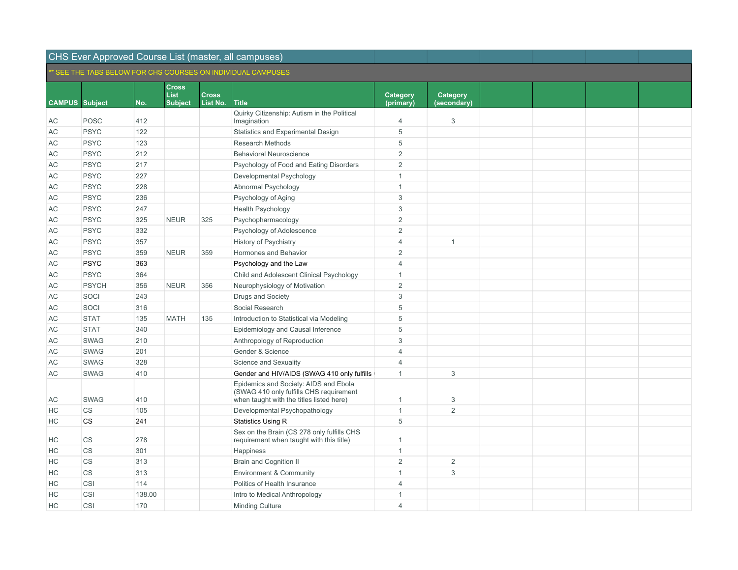### CHS Ever Approved Course List (master, all campuses) \*\* SEE THE TABS BELOW FOR CHS COURSES ON INDIVIDUAL CAMPUSES

|                       |                        |        |                                               |                          | ' SEE THE TABS BELOW FOR CHS COURSES ON INDIVIDUAL CAMPUSES.                                                                 |                       |                         |  |  |
|-----------------------|------------------------|--------|-----------------------------------------------|--------------------------|------------------------------------------------------------------------------------------------------------------------------|-----------------------|-------------------------|--|--|
| <b>CAMPUS Subject</b> |                        | No.    | <b>Cross</b><br><b>List</b><br><b>Subject</b> | <b>Cross</b><br>List No. | <b>Title</b>                                                                                                                 | Category<br>(primary) | Category<br>(secondary) |  |  |
| AC                    | <b>POSC</b>            | 412    |                                               |                          | Quirky Citizenship: Autism in the Political<br>Imagination                                                                   | $\overline{4}$        | 3                       |  |  |
| AC                    | <b>PSYC</b>            | 122    |                                               |                          | Statistics and Experimental Design                                                                                           | 5                     |                         |  |  |
| AC                    | <b>PSYC</b>            | 123    |                                               |                          | Research Methods                                                                                                             | 5                     |                         |  |  |
| AC                    | <b>PSYC</b>            | 212    |                                               |                          | <b>Behavioral Neuroscience</b>                                                                                               | $\overline{2}$        |                         |  |  |
| AC                    | <b>PSYC</b>            | 217    |                                               |                          | Psychology of Food and Eating Disorders                                                                                      | $\overline{2}$        |                         |  |  |
| AC                    | <b>PSYC</b>            | 227    |                                               |                          | Developmental Psychology                                                                                                     | $\mathbf{1}$          |                         |  |  |
| AC                    | <b>PSYC</b>            | 228    |                                               |                          | Abnormal Psychology                                                                                                          | $\mathbf{1}$          |                         |  |  |
| AC                    | <b>PSYC</b>            | 236    |                                               |                          | Psychology of Aging                                                                                                          | 3                     |                         |  |  |
| AC                    | <b>PSYC</b>            | 247    |                                               |                          | Health Psychology                                                                                                            | 3                     |                         |  |  |
| AC                    | <b>PSYC</b>            | 325    | <b>NEUR</b>                                   | 325                      | Psychopharmacology                                                                                                           | 2                     |                         |  |  |
| AC                    | <b>PSYC</b>            | 332    |                                               |                          | Psychology of Adolescence                                                                                                    | $\overline{2}$        |                         |  |  |
| AC                    | <b>PSYC</b>            | 357    |                                               |                          | <b>History of Psychiatry</b>                                                                                                 | $\overline{4}$        | $\overline{1}$          |  |  |
| AC                    | <b>PSYC</b>            | 359    | <b>NEUR</b>                                   | 359                      | Hormones and Behavior                                                                                                        | $\overline{2}$        |                         |  |  |
| AC                    | <b>PSYC</b>            | 363    |                                               |                          | Psychology and the Law                                                                                                       | $\overline{4}$        |                         |  |  |
| AC                    | <b>PSYC</b>            | 364    |                                               |                          | Child and Adolescent Clinical Psychology                                                                                     | $\mathbf{1}$          |                         |  |  |
| AC                    | <b>PSYCH</b>           | 356    | <b>NEUR</b>                                   | 356                      | Neurophysiology of Motivation                                                                                                | $\overline{2}$        |                         |  |  |
| AC                    | SOCI                   | 243    |                                               |                          | Drugs and Society                                                                                                            | 3                     |                         |  |  |
| AC                    | SOCI                   | 316    |                                               |                          | Social Research                                                                                                              | 5                     |                         |  |  |
| AC                    | <b>STAT</b>            | 135    | <b>MATH</b>                                   | 135                      | Introduction to Statistical via Modeling                                                                                     | 5                     |                         |  |  |
| AC                    | <b>STAT</b>            | 340    |                                               |                          | Epidemiology and Causal Inference                                                                                            | 5                     |                         |  |  |
| AC                    | <b>SWAG</b>            | 210    |                                               |                          | Anthropology of Reproduction                                                                                                 | 3                     |                         |  |  |
| AC                    | <b>SWAG</b>            | 201    |                                               |                          | Gender & Science                                                                                                             | $\overline{4}$        |                         |  |  |
| AC                    | <b>SWAG</b>            | 328    |                                               |                          | Science and Sexuality                                                                                                        | $\overline{4}$        |                         |  |  |
| AC                    | <b>SWAG</b>            | 410    |                                               |                          | Gender and HIV/AIDS (SWAG 410 only fulfills                                                                                  | $\mathbf{1}$          | 3                       |  |  |
| AC                    | <b>SWAG</b>            | 410    |                                               |                          | Epidemics and Society: AIDS and Ebola<br>(SWAG 410 only fulfills CHS requirement<br>when taught with the titles listed here) | $\mathbf{1}$          | 3                       |  |  |
| НC                    | <b>CS</b>              | 105    |                                               |                          | Developmental Psychopathology                                                                                                | $\mathbf{1}$          | $\overline{2}$          |  |  |
| HC                    | <b>CS</b>              | 241    |                                               |                          | <b>Statistics Using R</b>                                                                                                    | 5                     |                         |  |  |
| HC                    | $\mathbb{C}\mathbb{S}$ | 278    |                                               |                          | Sex on the Brain (CS 278 only fulfills CHS<br>requirement when taught with this title)                                       | $\mathbf{1}$          |                         |  |  |
| HC                    | <b>CS</b>              | 301    |                                               |                          | Happiness                                                                                                                    | $\mathbf{1}$          |                         |  |  |
| HC                    | <b>CS</b>              | 313    |                                               |                          | <b>Brain and Cognition II</b>                                                                                                | $\overline{2}$        | 2                       |  |  |
| HC                    | CS                     | 313    |                                               |                          | <b>Environment &amp; Community</b>                                                                                           | $\mathbf{1}$          | 3                       |  |  |
| HC                    | CSI                    | 114    |                                               |                          | Politics of Health Insurance                                                                                                 | $\overline{4}$        |                         |  |  |
| HC                    | CSI                    | 138.00 |                                               |                          | Intro to Medical Anthropology                                                                                                | $\mathbf{1}$          |                         |  |  |
| HC                    | CSI                    | 170    |                                               |                          | Minding Culture                                                                                                              | $\overline{4}$        |                         |  |  |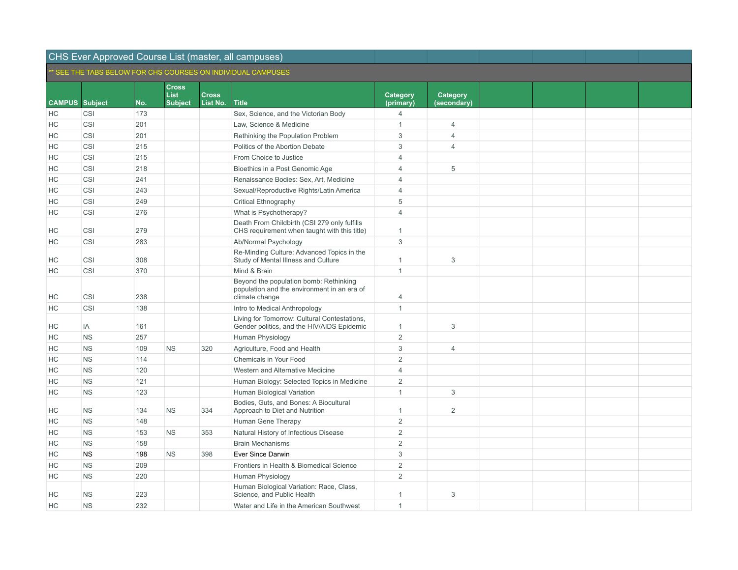|                       |            |     |                             |              | SEE THE TABS BELOW FOR CHS COURSES ON INDIVIDUAL CAMPUSES                                               |                |                |  |  |
|-----------------------|------------|-----|-----------------------------|--------------|---------------------------------------------------------------------------------------------------------|----------------|----------------|--|--|
|                       |            |     | <b>Cross</b><br><b>List</b> | <b>Cross</b> |                                                                                                         | Category       | Category       |  |  |
| <b>CAMPUS</b> Subject |            | No. | <b>Subject</b>              | List No.     | <b>Title</b>                                                                                            | (primary)      | (secondary)    |  |  |
| HC                    | CSI        | 173 |                             |              | Sex, Science, and the Victorian Body                                                                    | $\overline{4}$ |                |  |  |
| HC                    | <b>CSI</b> | 201 |                             |              | Law, Science & Medicine                                                                                 | $\mathbf{1}$   | $\overline{4}$ |  |  |
| HC                    | CSI        | 201 |                             |              | Rethinking the Population Problem                                                                       | 3              | $\overline{4}$ |  |  |
| HC                    | CSI        | 215 |                             |              | Politics of the Abortion Debate                                                                         | 3              | $\overline{4}$ |  |  |
| HC                    | CSI        | 215 |                             |              | From Choice to Justice                                                                                  | $\overline{4}$ |                |  |  |
| HC                    | CSI        | 218 |                             |              | Bioethics in a Post Genomic Age                                                                         | $\overline{4}$ | 5              |  |  |
| HС                    | CSI        | 241 |                             |              | Renaissance Bodies: Sex, Art, Medicine                                                                  | 4              |                |  |  |
| HC                    | CSI        | 243 |                             |              | Sexual/Reproductive Rights/Latin America                                                                | $\overline{4}$ |                |  |  |
| HС                    | CSI        | 249 |                             |              | <b>Critical Ethnography</b>                                                                             | 5              |                |  |  |
| HC                    | CSI        | 276 |                             |              | What is Psychotherapy?                                                                                  | $\overline{4}$ |                |  |  |
| HС                    | CSI        | 279 |                             |              | Death From Childbirth (CSI 279 only fulfills<br>CHS requirement when taught with this title)            | 1              |                |  |  |
| HC                    | CSI        | 283 |                             |              | Ab/Normal Psychology                                                                                    | 3              |                |  |  |
| HС                    | CSI        | 308 |                             |              | Re-Minding Culture: Advanced Topics in the<br>Study of Mental Illness and Culture                       | $\mathbf{1}$   | $\mathbf 3$    |  |  |
| HC                    | CSI        | 370 |                             |              | Mind & Brain                                                                                            | $\mathbf{1}$   |                |  |  |
| HC                    | CSI        | 238 |                             |              | Beyond the population bomb: Rethinking<br>population and the environment in an era of<br>climate change | $\overline{4}$ |                |  |  |
| HC                    | CSI        | 138 |                             |              | Intro to Medical Anthropology                                                                           | $\mathbf{1}$   |                |  |  |
| HС                    | IA         | 161 |                             |              | Living for Tomorrow: Cultural Contestations,<br>Gender politics, and the HIV/AIDS Epidemic              | $\mathbf{1}$   | $\mathbf{3}$   |  |  |
| HC                    | <b>NS</b>  | 257 |                             |              | Human Physiology                                                                                        | $\overline{2}$ |                |  |  |
| HС                    | <b>NS</b>  | 109 | <b>NS</b>                   | 320          | Agriculture, Food and Health                                                                            | 3              | $\overline{4}$ |  |  |
| HC                    | <b>NS</b>  | 114 |                             |              | Chemicals in Your Food                                                                                  | 2              |                |  |  |
| НC                    | <b>NS</b>  | 120 |                             |              | Western and Alternative Medicine                                                                        | $\Delta$       |                |  |  |
| HC                    | <b>NS</b>  | 121 |                             |              | Human Biology: Selected Topics in Medicine                                                              | 2              |                |  |  |
| HC                    | <b>NS</b>  | 123 |                             |              | Human Biological Variation                                                                              | $\mathbf{1}$   | 3              |  |  |
| НC                    | <b>NS</b>  | 134 | <b>NS</b>                   | 334          | Bodies, Guts, and Bones: A Biocultural<br>Approach to Diet and Nutrition                                | $\mathbf{1}$   | 2              |  |  |
| HC                    | <b>NS</b>  | 148 |                             |              | Human Gene Therapy                                                                                      | $\overline{2}$ |                |  |  |
| НC                    | <b>NS</b>  | 153 | <b>NS</b>                   | 353          | Natural History of Infectious Disease                                                                   | $\overline{2}$ |                |  |  |
| HC                    | <b>NS</b>  | 158 |                             |              | <b>Brain Mechanisms</b>                                                                                 | $\overline{2}$ |                |  |  |
| HС                    | <b>NS</b>  | 198 | <b>NS</b>                   | 398          | Ever Since Darwin                                                                                       | 3              |                |  |  |
| HC                    | <b>NS</b>  | 209 |                             |              | Frontiers in Health & Biomedical Science                                                                | $\overline{2}$ |                |  |  |
| HС                    | <b>NS</b>  | 220 |                             |              | Human Physiology                                                                                        | $\overline{2}$ |                |  |  |
| HС                    | <b>NS</b>  | 223 |                             |              | Human Biological Variation: Race, Class,<br>Science, and Public Health                                  | 1              | 3              |  |  |
| HC                    | <b>NS</b>  | 232 |                             |              | Water and Life in the American Southwest                                                                | $\mathbf{1}$   |                |  |  |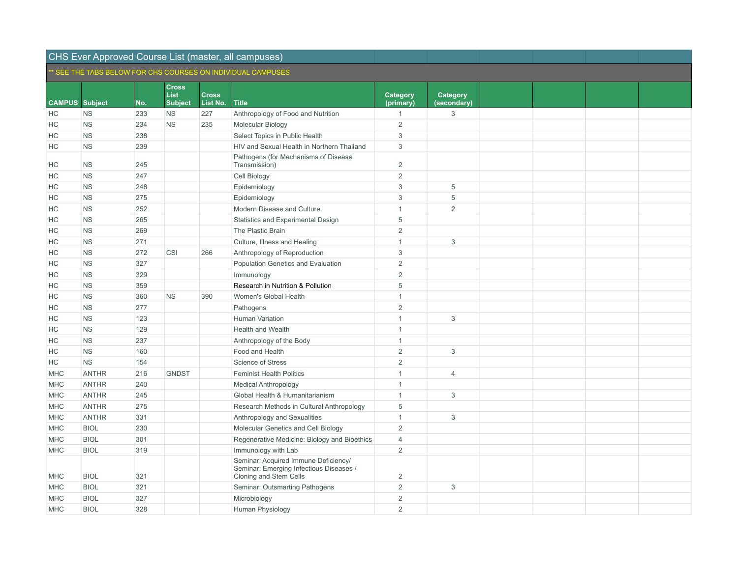|                       |              |     |                             |              | SEE THE TABS BELOW FOR CHS COURSES ON INDIVIDUAL CAMPUSES                                                 |                |                           |  |  |
|-----------------------|--------------|-----|-----------------------------|--------------|-----------------------------------------------------------------------------------------------------------|----------------|---------------------------|--|--|
|                       |              |     | <b>Cross</b><br><b>List</b> | <b>Cross</b> |                                                                                                           | Category       | Category                  |  |  |
| <b>CAMPUS</b> Subject |              | No. | <b>Subject</b>              | List No.     | <b>Title</b>                                                                                              | (primary)      | (secondary)               |  |  |
| НC                    | <b>NS</b>    | 233 | <b>NS</b>                   | 227          | Anthropology of Food and Nutrition                                                                        | $\mathbf{1}$   | 3                         |  |  |
| HC                    | <b>NS</b>    | 234 | <b>NS</b>                   | 235          | Molecular Biology                                                                                         | $\overline{2}$ |                           |  |  |
| HС                    | <b>NS</b>    | 238 |                             |              | Select Topics in Public Health                                                                            | $\sqrt{3}$     |                           |  |  |
| НC                    | <b>NS</b>    | 239 |                             |              | HIV and Sexual Health in Northern Thailand                                                                | 3              |                           |  |  |
| HС                    | <b>NS</b>    | 245 |                             |              | Pathogens (for Mechanisms of Disease<br>Transmission)                                                     | $\overline{2}$ |                           |  |  |
| HC                    | <b>NS</b>    | 247 |                             |              | Cell Biology                                                                                              | $\overline{2}$ |                           |  |  |
| HC                    | <b>NS</b>    | 248 |                             |              | Epidemiology                                                                                              | $\sqrt{3}$     | 5                         |  |  |
| НC                    | <b>NS</b>    | 275 |                             |              | Epidemiology                                                                                              | $\sqrt{3}$     | $\,$ 5 $\,$               |  |  |
| НC                    | <b>NS</b>    | 252 |                             |              | Modern Disease and Culture                                                                                | $\mathbf{1}$   | 2                         |  |  |
| НC                    | <b>NS</b>    | 265 |                             |              | Statistics and Experimental Design                                                                        | 5              |                           |  |  |
| НC                    | <b>NS</b>    | 269 |                             |              | The Plastic Brain                                                                                         | $\overline{2}$ |                           |  |  |
| HC                    | <b>NS</b>    | 271 |                             |              | Culture, Illness and Healing                                                                              | $\mathbf{1}$   | 3                         |  |  |
| HC                    | <b>NS</b>    | 272 | CSI                         | 266          | Anthropology of Reproduction                                                                              | $\sqrt{3}$     |                           |  |  |
| HC                    | <b>NS</b>    | 327 |                             |              | Population Genetics and Evaluation                                                                        | $\overline{2}$ |                           |  |  |
| HC                    | <b>NS</b>    | 329 |                             |              | Immunology                                                                                                | $\overline{2}$ |                           |  |  |
| HC                    | <b>NS</b>    | 359 |                             |              | Research in Nutrition & Pollution                                                                         | 5              |                           |  |  |
| HC                    | <b>NS</b>    | 360 | <b>NS</b>                   | 390          | Women's Global Health                                                                                     | $\mathbf{1}$   |                           |  |  |
| HC                    | <b>NS</b>    | 277 |                             |              | Pathogens                                                                                                 | $\overline{2}$ |                           |  |  |
| HC                    | <b>NS</b>    | 123 |                             |              | Human Variation                                                                                           | $\mathbf{1}$   | 3                         |  |  |
| HC                    | <b>NS</b>    | 129 |                             |              | Health and Wealth                                                                                         | $\mathbf{1}$   |                           |  |  |
| HС                    | <b>NS</b>    | 237 |                             |              | Anthropology of the Body                                                                                  | $\mathbf{1}$   |                           |  |  |
| НC                    | <b>NS</b>    | 160 |                             |              | Food and Health                                                                                           | $\overline{2}$ | 3                         |  |  |
| НC                    | <b>NS</b>    | 154 |                             |              | Science of Stress                                                                                         | $\overline{2}$ |                           |  |  |
| <b>MHC</b>            | <b>ANTHR</b> | 216 | <b>GNDST</b>                |              | <b>Feminist Health Politics</b>                                                                           | $\mathbf{1}$   | $\overline{4}$            |  |  |
| MHC                   | <b>ANTHR</b> | 240 |                             |              | <b>Medical Anthropology</b>                                                                               | $\mathbf{1}$   |                           |  |  |
| <b>MHC</b>            | <b>ANTHR</b> | 245 |                             |              | Global Health & Humanitarianism                                                                           | $\mathbf{1}$   | 3                         |  |  |
| <b>MHC</b>            | <b>ANTHR</b> | 275 |                             |              | Research Methods in Cultural Anthropology                                                                 | 5              |                           |  |  |
| <b>MHC</b>            | <b>ANTHR</b> | 331 |                             |              | Anthropology and Sexualities                                                                              | $\mathbf{1}$   | $\ensuremath{\mathsf{3}}$ |  |  |
| <b>MHC</b>            | <b>BIOL</b>  | 230 |                             |              | Molecular Genetics and Cell Biology                                                                       | $\overline{2}$ |                           |  |  |
| <b>MHC</b>            | <b>BIOL</b>  | 301 |                             |              | Regenerative Medicine: Biology and Bioethics                                                              | $\overline{4}$ |                           |  |  |
| <b>MHC</b>            | <b>BIOL</b>  | 319 |                             |              | Immunology with Lab                                                                                       | $\overline{2}$ |                           |  |  |
| <b>MHC</b>            | <b>BIOL</b>  | 321 |                             |              | Seminar: Acquired Immune Deficiency/<br>Seminar: Emerging Infectious Diseases /<br>Cloning and Stem Cells | $\overline{2}$ |                           |  |  |
| <b>MHC</b>            | <b>BIOL</b>  | 321 |                             |              | Seminar: Outsmarting Pathogens                                                                            | $\overline{2}$ | 3                         |  |  |
| MHC                   | <b>BIOL</b>  | 327 |                             |              | Microbiology                                                                                              | $\overline{2}$ |                           |  |  |
| <b>MHC</b>            | <b>BIOL</b>  | 328 |                             |              | Human Physiology                                                                                          | $\overline{2}$ |                           |  |  |
|                       |              |     |                             |              |                                                                                                           |                |                           |  |  |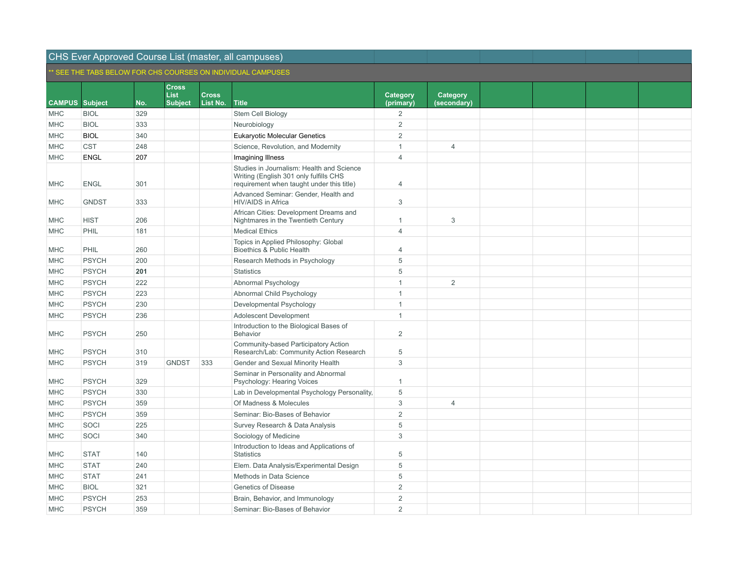|                       |              |     |                             |              | SEE THE TABS BELOW FOR CHS COURSES ON INDIVIDUAL CAMPUSES                                                                        |                           |                |  |  |
|-----------------------|--------------|-----|-----------------------------|--------------|----------------------------------------------------------------------------------------------------------------------------------|---------------------------|----------------|--|--|
|                       |              |     | <b>Cross</b><br><b>List</b> | <b>Cross</b> |                                                                                                                                  | Category                  | Category       |  |  |
| <b>CAMPUS Subject</b> |              | No. | <b>Subject</b>              | List No.     | <b>Title</b>                                                                                                                     | (primary)                 | (secondary)    |  |  |
| <b>MHC</b>            | <b>BIOL</b>  | 329 |                             |              | Stem Cell Biology                                                                                                                | 2                         |                |  |  |
| <b>MHC</b>            | <b>BIOL</b>  | 333 |                             |              | Neurobiology                                                                                                                     | 2                         |                |  |  |
| <b>MHC</b>            | <b>BIOL</b>  | 340 |                             |              | <b>Eukaryotic Molecular Genetics</b>                                                                                             | $\overline{2}$            |                |  |  |
| <b>MHC</b>            | <b>CST</b>   | 248 |                             |              | Science, Revolution, and Modernity                                                                                               | $\mathbf{1}$              | $\overline{4}$ |  |  |
| <b>MHC</b>            | <b>ENGL</b>  | 207 |                             |              | <b>Imagining Illness</b>                                                                                                         | $\overline{4}$            |                |  |  |
| <b>MHC</b>            | <b>ENGL</b>  | 301 |                             |              | Studies in Journalism: Health and Science<br>Writing (English 301 only fulfills CHS<br>requirement when taught under this title) | $\overline{4}$            |                |  |  |
| <b>MHC</b>            | <b>GNDST</b> | 333 |                             |              | Advanced Seminar: Gender, Health and<br>HIV/AIDS in Africa                                                                       | $\ensuremath{\mathsf{3}}$ |                |  |  |
| <b>MHC</b>            | <b>HIST</b>  | 206 |                             |              | African Cities: Development Dreams and<br>Nightmares in the Twentieth Century                                                    | $\mathbf{1}$              | 3              |  |  |
| <b>MHC</b>            | PHIL         | 181 |                             |              | <b>Medical Ethics</b>                                                                                                            | $\overline{4}$            |                |  |  |
| <b>MHC</b>            | PHIL         | 260 |                             |              | Topics in Applied Philosophy: Global<br>Bioethics & Public Health                                                                | $\overline{4}$            |                |  |  |
| <b>MHC</b>            | <b>PSYCH</b> | 200 |                             |              | Research Methods in Psychology                                                                                                   | 5                         |                |  |  |
| MHC                   | <b>PSYCH</b> | 201 |                             |              | <b>Statistics</b>                                                                                                                | 5                         |                |  |  |
| <b>MHC</b>            | <b>PSYCH</b> | 222 |                             |              | Abnormal Psychology                                                                                                              | $\mathbf{1}$              | $\overline{2}$ |  |  |
| <b>MHC</b>            | <b>PSYCH</b> | 223 |                             |              | Abnormal Child Psychology                                                                                                        | $\mathbf{1}$              |                |  |  |
| <b>MHC</b>            | <b>PSYCH</b> | 230 |                             |              | Developmental Psychology                                                                                                         | $\mathbf{1}$              |                |  |  |
| <b>MHC</b>            | <b>PSYCH</b> | 236 |                             |              | Adolescent Development                                                                                                           | $\mathbf{1}$              |                |  |  |
| <b>MHC</b>            | <b>PSYCH</b> | 250 |                             |              | Introduction to the Biological Bases of<br><b>Behavior</b>                                                                       | $\overline{2}$            |                |  |  |
| <b>MHC</b>            | <b>PSYCH</b> | 310 |                             |              | Community-based Participatory Action<br>Research/Lab: Community Action Research                                                  | 5                         |                |  |  |
| <b>MHC</b>            | <b>PSYCH</b> | 319 | <b>GNDST</b>                | 333          | Gender and Sexual Minority Health                                                                                                | 3                         |                |  |  |
| <b>MHC</b>            | <b>PSYCH</b> | 329 |                             |              | Seminar in Personality and Abnormal<br>Psychology: Hearing Voices                                                                | $\mathbf{1}$              |                |  |  |
| <b>MHC</b>            | <b>PSYCH</b> | 330 |                             |              | Lab in Developmental Psychology Personality,                                                                                     | 5                         |                |  |  |
| <b>MHC</b>            | <b>PSYCH</b> | 359 |                             |              | Of Madness & Molecules                                                                                                           | 3                         | $\overline{4}$ |  |  |
| <b>MHC</b>            | <b>PSYCH</b> | 359 |                             |              | Seminar: Bio-Bases of Behavior                                                                                                   | $\overline{2}$            |                |  |  |
| <b>MHC</b>            | SOCI         | 225 |                             |              | Survey Research & Data Analysis                                                                                                  | 5                         |                |  |  |
| <b>MHC</b>            | SOCI         | 340 |                             |              | Sociology of Medicine                                                                                                            | 3                         |                |  |  |
| <b>MHC</b>            | <b>STAT</b>  | 140 |                             |              | Introduction to Ideas and Applications of<br><b>Statistics</b>                                                                   | 5                         |                |  |  |
| <b>MHC</b>            | <b>STAT</b>  | 240 |                             |              | Elem. Data Analysis/Experimental Design                                                                                          | 5                         |                |  |  |
| <b>MHC</b>            | <b>STAT</b>  | 241 |                             |              | Methods in Data Science                                                                                                          | 5                         |                |  |  |
| <b>MHC</b>            | <b>BIOL</b>  | 321 |                             |              | <b>Genetics of Disease</b>                                                                                                       | 2                         |                |  |  |
| <b>MHC</b>            | <b>PSYCH</b> | 253 |                             |              | Brain, Behavior, and Immunology                                                                                                  | $\overline{2}$            |                |  |  |
| <b>MHC</b>            | <b>PSYCH</b> | 359 |                             |              | Seminar: Bio-Bases of Behavior                                                                                                   | 2                         |                |  |  |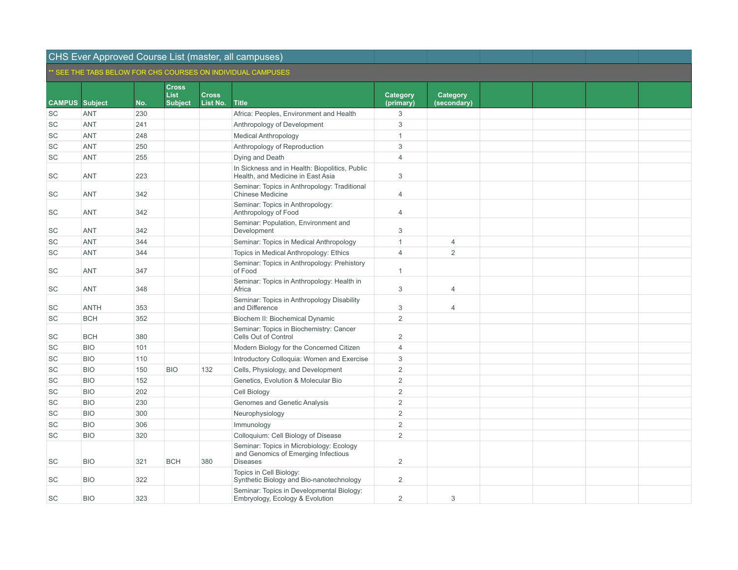|                       |             |     |                             |              | SEE THE TABS BELOW FOR CHS COURSES ON INDIVIDUAL CAMPUSES.                                         |                 |                |  |  |
|-----------------------|-------------|-----|-----------------------------|--------------|----------------------------------------------------------------------------------------------------|-----------------|----------------|--|--|
|                       |             |     | <b>Cross</b><br><b>List</b> | <b>Cross</b> |                                                                                                    | <b>Category</b> | Category       |  |  |
| <b>CAMPUS</b> Subject |             | No. | Subject                     | List No.     | <b>Title</b>                                                                                       | (primary)       | (secondary)    |  |  |
| SC                    | <b>ANT</b>  | 230 |                             |              | Africa: Peoples, Environment and Health                                                            | 3               |                |  |  |
| SC                    | <b>ANT</b>  | 241 |                             |              | Anthropology of Development                                                                        | $\mathsf 3$     |                |  |  |
| <b>SC</b>             | <b>ANT</b>  | 248 |                             |              | <b>Medical Anthropology</b>                                                                        | $\mathbf{1}$    |                |  |  |
| SC                    | <b>ANT</b>  | 250 |                             |              | Anthropology of Reproduction                                                                       | 3               |                |  |  |
| SC                    | <b>ANT</b>  | 255 |                             |              | Dying and Death                                                                                    | $\overline{4}$  |                |  |  |
| SC                    | <b>ANT</b>  | 223 |                             |              | In Sickness and in Health: Biopolitics, Public<br>Health, and Medicine in East Asia                | 3               |                |  |  |
| SC                    | <b>ANT</b>  | 342 |                             |              | Seminar: Topics in Anthropology: Traditional<br><b>Chinese Medicine</b>                            | $\overline{4}$  |                |  |  |
| SC                    | <b>ANT</b>  | 342 |                             |              | Seminar: Topics in Anthropology:<br>Anthropology of Food                                           | $\overline{4}$  |                |  |  |
| <b>SC</b>             | <b>ANT</b>  | 342 |                             |              | Seminar: Population, Environment and<br>Development                                                | 3               |                |  |  |
| SC                    | <b>ANT</b>  | 344 |                             |              | Seminar: Topics in Medical Anthropology                                                            | $\mathbf{1}$    | 4              |  |  |
| SC                    | <b>ANT</b>  | 344 |                             |              | Topics in Medical Anthropology: Ethics                                                             | $\overline{4}$  | $\overline{2}$ |  |  |
| SC                    | <b>ANT</b>  | 347 |                             |              | Seminar: Topics in Anthropology: Prehistory<br>of Food                                             | $\mathbf{1}$    |                |  |  |
| SC                    | <b>ANT</b>  | 348 |                             |              | Seminar: Topics in Anthropology: Health in<br>Africa                                               | 3               | $\overline{4}$ |  |  |
| SC                    | <b>ANTH</b> | 353 |                             |              | Seminar: Topics in Anthropology Disability<br>and Difference                                       | 3               | $\overline{4}$ |  |  |
| SC                    | <b>BCH</b>  | 352 |                             |              | Biochem II: Biochemical Dynamic                                                                    | 2               |                |  |  |
| SC                    | <b>BCH</b>  | 380 |                             |              | Seminar: Topics in Biochemistry: Cancer<br>Cells Out of Control                                    | 2               |                |  |  |
| <b>SC</b>             | <b>BIO</b>  | 101 |                             |              | Modern Biology for the Concerned Citizen                                                           | $\overline{4}$  |                |  |  |
| SC                    | <b>BIO</b>  | 110 |                             |              | Introductory Colloquia: Women and Exercise                                                         | 3               |                |  |  |
| <b>SC</b>             | <b>BIO</b>  | 150 | <b>BIO</b>                  | 132          | Cells, Physiology, and Development                                                                 | 2               |                |  |  |
| SC                    | <b>BIO</b>  | 152 |                             |              | Genetics, Evolution & Molecular Bio                                                                | 2               |                |  |  |
| SC                    | <b>BIO</b>  | 202 |                             |              | Cell Biology                                                                                       | $\overline{2}$  |                |  |  |
| SC                    | <b>BIO</b>  | 230 |                             |              | Genomes and Genetic Analysis                                                                       | $\overline{2}$  |                |  |  |
| SC                    | <b>BIO</b>  | 300 |                             |              | Neurophysiology                                                                                    | $\overline{2}$  |                |  |  |
| SC                    | <b>BIO</b>  | 306 |                             |              | Immunology                                                                                         | $\overline{2}$  |                |  |  |
| SC                    | <b>BIO</b>  | 320 |                             |              | Colloquium: Cell Biology of Disease                                                                | $\overline{2}$  |                |  |  |
| SC                    | <b>BIO</b>  | 321 | <b>BCH</b>                  | 380          | Seminar: Topics in Microbiology: Ecology<br>and Genomics of Emerging Infectious<br><b>Diseases</b> | 2               |                |  |  |
| SC                    | <b>BIO</b>  | 322 |                             |              | Topics in Cell Biology:<br>Synthetic Biology and Bio-nanotechnology                                | 2               |                |  |  |
| SC                    | <b>BIO</b>  | 323 |                             |              | Seminar: Topics in Developmental Biology:<br>Embryology, Ecology & Evolution                       | 2               | 3              |  |  |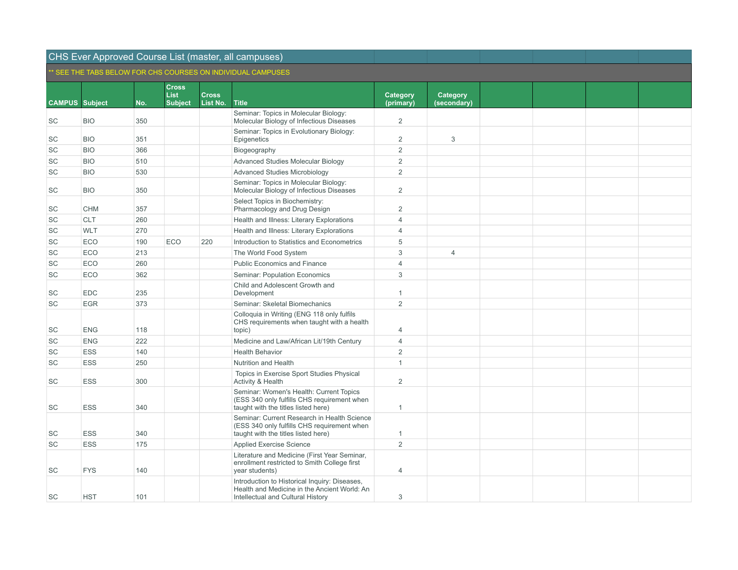|                       |            |     |                             |              | OLL THE TABO BELOW FOR UNO COURSES ON INDIVIDUAL CAMPUSES                                                                          |                |                |  |  |
|-----------------------|------------|-----|-----------------------------|--------------|------------------------------------------------------------------------------------------------------------------------------------|----------------|----------------|--|--|
|                       |            |     | <b>Cross</b><br><b>List</b> | <b>Cross</b> |                                                                                                                                    | Category       | Category       |  |  |
| <b>CAMPUS Subject</b> |            | No. | <b>Subject</b>              | List No.     | <b>Title</b>                                                                                                                       | (primary)      | (secondary)    |  |  |
| SC                    | <b>BIO</b> | 350 |                             |              | Seminar: Topics in Molecular Biology:<br>Molecular Biology of Infectious Diseases                                                  | $\overline{2}$ |                |  |  |
| SC                    | <b>BIO</b> | 351 |                             |              | Seminar: Topics in Evolutionary Biology:<br>Epigenetics                                                                            | $\overline{2}$ | $\mathbf{3}$   |  |  |
| SC                    | <b>BIO</b> | 366 |                             |              | Biogeography                                                                                                                       | $\overline{2}$ |                |  |  |
| SC                    | <b>BIO</b> | 510 |                             |              | <b>Advanced Studies Molecular Biology</b>                                                                                          | $\overline{2}$ |                |  |  |
| SC                    | <b>BIO</b> | 530 |                             |              | <b>Advanced Studies Microbiology</b>                                                                                               | $\overline{2}$ |                |  |  |
| SC                    | <b>BIO</b> | 350 |                             |              | Seminar: Topics in Molecular Biology:<br>Molecular Biology of Infectious Diseases                                                  | $\overline{2}$ |                |  |  |
| SC                    | <b>CHM</b> | 357 |                             |              | Select Topics in Biochemistry:<br>Pharmacology and Drug Design                                                                     | $\overline{2}$ |                |  |  |
| SC                    | <b>CLT</b> | 260 |                             |              | Health and Illness: Literary Explorations                                                                                          | $\overline{4}$ |                |  |  |
| SC                    | <b>WLT</b> | 270 |                             |              | Health and Illness: Literary Explorations                                                                                          | $\overline{4}$ |                |  |  |
| SC                    | ECO        | 190 | ECO                         | 220          | Introduction to Statistics and Econometrics                                                                                        | 5              |                |  |  |
| SC                    | ECO        | 213 |                             |              | The World Food System                                                                                                              | 3              | $\overline{4}$ |  |  |
| SC                    | ECO        | 260 |                             |              | Public Economics and Finance                                                                                                       | $\overline{4}$ |                |  |  |
| SC                    | ECO        | 362 |                             |              | Seminar: Population Economics                                                                                                      | 3              |                |  |  |
| SC                    | <b>EDC</b> | 235 |                             |              | Child and Adolescent Growth and<br>Development                                                                                     | $\mathbf{1}$   |                |  |  |
| SC                    | <b>EGR</b> | 373 |                             |              | Seminar: Skeletal Biomechanics                                                                                                     | 2              |                |  |  |
| SC                    | <b>ENG</b> | 118 |                             |              | Colloquia in Writing (ENG 118 only fulfils<br>CHS requirements when taught with a health<br>topic)                                 | $\overline{4}$ |                |  |  |
| SC                    | <b>ENG</b> | 222 |                             |              | Medicine and Law/African Lit/19th Century                                                                                          | $\overline{4}$ |                |  |  |
| SC                    | ESS        | 140 |                             |              | <b>Health Behavior</b>                                                                                                             | $\overline{2}$ |                |  |  |
| SC                    | <b>ESS</b> | 250 |                             |              | Nutrition and Health                                                                                                               | $\mathbf{1}$   |                |  |  |
| SC                    | <b>ESS</b> | 300 |                             |              | Topics in Exercise Sport Studies Physical<br>Activity & Health                                                                     | $\overline{2}$ |                |  |  |
| SC                    | <b>ESS</b> | 340 |                             |              | Seminar: Women's Health: Current Topics<br>(ESS 340 only fulfills CHS requirement when<br>taught with the titles listed here)      | $\mathbf{1}$   |                |  |  |
| SC                    | <b>ESS</b> | 340 |                             |              | Seminar: Current Research in Health Science<br>(ESS 340 only fulfills CHS requirement when<br>taught with the titles listed here)  | $\mathbf{1}$   |                |  |  |
| SC                    | <b>ESS</b> | 175 |                             |              | Applied Exercise Science                                                                                                           | 2              |                |  |  |
| SC                    | <b>FYS</b> | 140 |                             |              | Literature and Medicine (First Year Seminar,<br>enrollment restricted to Smith College first<br>year students)                     | $\overline{4}$ |                |  |  |
| SC                    | <b>HST</b> | 101 |                             |              | Introduction to Historical Inquiry: Diseases,<br>Health and Medicine in the Ancient World: An<br>Intellectual and Cultural History | 3              |                |  |  |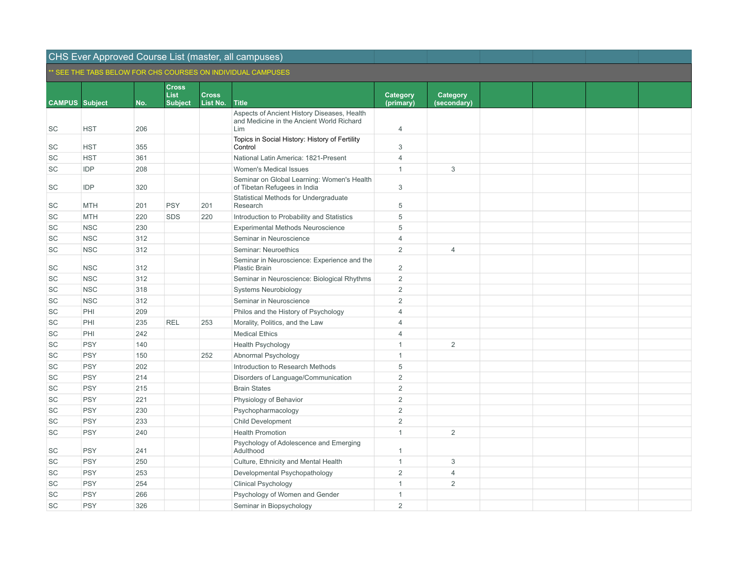|                       |            |     |                             |              | SEE THE TABS BELOW FOR CHS COURSES ON INDIVIDUAL CAMPUSES.                               |                |                |  |  |
|-----------------------|------------|-----|-----------------------------|--------------|------------------------------------------------------------------------------------------|----------------|----------------|--|--|
|                       |            |     | <b>Cross</b><br><b>List</b> | <b>Cross</b> |                                                                                          | Category       | Category       |  |  |
| <b>CAMPUS</b> Subject |            | No. | <b>Subject</b>              | List No.     | <b>Title</b>                                                                             | (primary)      | (secondary)    |  |  |
|                       |            |     |                             |              | Aspects of Ancient History Diseases, Health<br>and Medicine in the Ancient World Richard |                |                |  |  |
| SC                    | <b>HST</b> | 206 |                             |              | Lim                                                                                      | 4              |                |  |  |
| SC                    | <b>HST</b> | 355 |                             |              | Topics in Social History: History of Fertility<br>Control                                | 3              |                |  |  |
| SC                    | <b>HST</b> | 361 |                             |              | National Latin America: 1821-Present                                                     | $\overline{4}$ |                |  |  |
| SC                    | <b>IDP</b> | 208 |                             |              | Women's Medical Issues                                                                   | $\mathbf{1}$   | 3              |  |  |
| SC                    | IDP        | 320 |                             |              | Seminar on Global Learning: Women's Health<br>of Tibetan Refugees in India               | 3              |                |  |  |
| SC                    | <b>MTH</b> | 201 | <b>PSY</b>                  | 201          | Statistical Methods for Undergraduate<br>Research                                        | 5              |                |  |  |
| SC                    | <b>MTH</b> | 220 | <b>SDS</b>                  | 220          | Introduction to Probability and Statistics                                               | 5              |                |  |  |
| SC                    | <b>NSC</b> | 230 |                             |              | Experimental Methods Neuroscience                                                        | 5              |                |  |  |
| SC                    | <b>NSC</b> | 312 |                             |              | Seminar in Neuroscience                                                                  | $\overline{4}$ |                |  |  |
| SC                    | <b>NSC</b> | 312 |                             |              | Seminar: Neuroethics                                                                     | 2              | $\overline{4}$ |  |  |
| SC                    | <b>NSC</b> | 312 |                             |              | Seminar in Neuroscience: Experience and the<br>Plastic Brain                             | $\overline{2}$ |                |  |  |
| SC                    | <b>NSC</b> | 312 |                             |              | Seminar in Neuroscience: Biological Rhythms                                              | $\overline{2}$ |                |  |  |
| SC                    | <b>NSC</b> | 318 |                             |              | <b>Systems Neurobiology</b>                                                              | $\overline{2}$ |                |  |  |
| SC                    | <b>NSC</b> | 312 |                             |              | Seminar in Neuroscience                                                                  | 2              |                |  |  |
| SC                    | PHI        | 209 |                             |              | Philos and the History of Psychology                                                     | $\overline{4}$ |                |  |  |
| SC                    | PHI        | 235 | <b>REL</b>                  | 253          | Morality, Politics, and the Law                                                          | $\overline{4}$ |                |  |  |
| SC                    | PHI        | 242 |                             |              | <b>Medical Ethics</b>                                                                    | $\overline{4}$ |                |  |  |
| SC                    | <b>PSY</b> | 140 |                             |              | <b>Health Psychology</b>                                                                 | $\mathbf{1}$   | $\overline{2}$ |  |  |
| SC                    | <b>PSY</b> | 150 |                             | 252          | Abnormal Psychology                                                                      | $\mathbf{1}$   |                |  |  |
| <b>SC</b>             | <b>PSY</b> | 202 |                             |              | Introduction to Research Methods                                                         | 5              |                |  |  |
| SC                    | <b>PSY</b> | 214 |                             |              | Disorders of Language/Communication                                                      | $\overline{2}$ |                |  |  |
| <b>SC</b>             | <b>PSY</b> | 215 |                             |              | <b>Brain States</b>                                                                      | 2              |                |  |  |
| SC                    | <b>PSY</b> | 221 |                             |              | Physiology of Behavior                                                                   | $\overline{2}$ |                |  |  |
| SC                    | <b>PSY</b> | 230 |                             |              | Psychopharmacology                                                                       | 2              |                |  |  |
| SC                    | <b>PSY</b> | 233 |                             |              | <b>Child Development</b>                                                                 | $\overline{2}$ |                |  |  |
| SC                    | <b>PSY</b> | 240 |                             |              | <b>Health Promotion</b>                                                                  | $\mathbf{1}$   | 2              |  |  |
| SC                    | <b>PSY</b> | 241 |                             |              | Psychology of Adolescence and Emerging<br>Adulthood                                      | 1              |                |  |  |
| SC                    | <b>PSY</b> | 250 |                             |              | Culture, Ethnicity and Mental Health                                                     | $\mathbf{1}$   | 3              |  |  |
| SC                    | <b>PSY</b> | 253 |                             |              | Developmental Psychopathology                                                            | $\overline{2}$ | $\overline{4}$ |  |  |
| SC                    | <b>PSY</b> | 254 |                             |              | <b>Clinical Psychology</b>                                                               | 1              | 2              |  |  |
| <b>SC</b>             | <b>PSY</b> | 266 |                             |              | Psychology of Women and Gender                                                           | 1              |                |  |  |
| SC                    | <b>PSY</b> | 326 |                             |              | Seminar in Biopsychology                                                                 | $\overline{2}$ |                |  |  |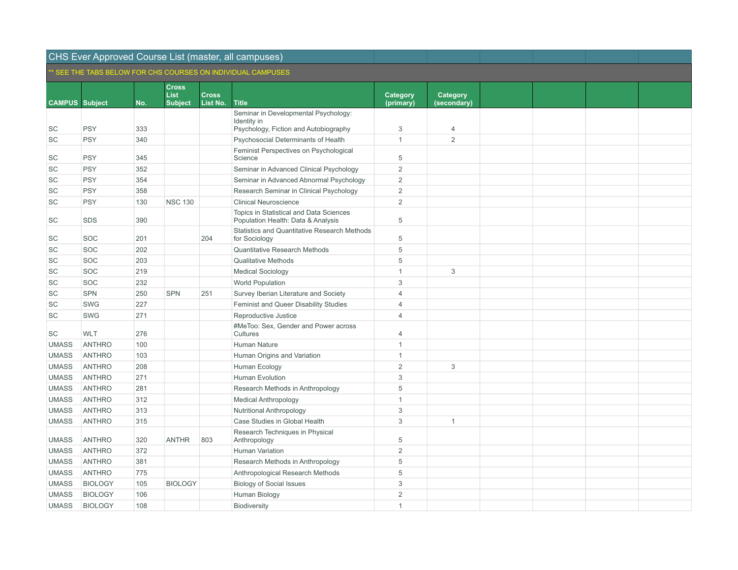|                       |                |     |                      |              | SEE THE TABS BELOW FOR CHS COURSES ON INDIVIDUAL CAMPUSES.                    |                |                 |  |  |
|-----------------------|----------------|-----|----------------------|--------------|-------------------------------------------------------------------------------|----------------|-----------------|--|--|
|                       |                |     | <b>Cross</b><br>List | <b>Cross</b> |                                                                               | Category       | <b>Category</b> |  |  |
| <b>CAMPUS Subject</b> |                | No. | <b>Subject</b>       | List No.     | <b>Title</b>                                                                  | (primary)      | (secondary)     |  |  |
|                       |                |     |                      |              | Seminar in Developmental Psychology:                                          |                |                 |  |  |
| SC                    | <b>PSY</b>     | 333 |                      |              | Identity in<br>Psychology, Fiction and Autobiography                          | 3              | $\overline{4}$  |  |  |
| SC                    | <b>PSY</b>     | 340 |                      |              | Psychosocial Determinants of Health                                           | $\mathbf{1}$   | 2               |  |  |
|                       |                |     |                      |              | Feminist Perspectives on Psychological                                        |                |                 |  |  |
| SC                    | <b>PSY</b>     | 345 |                      |              | Science                                                                       | 5              |                 |  |  |
| <b>SC</b>             | <b>PSY</b>     | 352 |                      |              | Seminar in Advanced Clinical Psychology                                       | $\overline{2}$ |                 |  |  |
| <b>SC</b>             | <b>PSY</b>     | 354 |                      |              | Seminar in Advanced Abnormal Psychology                                       | $\overline{2}$ |                 |  |  |
| SC                    | <b>PSY</b>     | 358 |                      |              | Research Seminar in Clinical Psychology                                       | $\overline{2}$ |                 |  |  |
| SC                    | <b>PSY</b>     | 130 | <b>NSC 130</b>       |              | <b>Clinical Neuroscience</b>                                                  | $\overline{2}$ |                 |  |  |
| SC                    | <b>SDS</b>     | 390 |                      |              | Topics in Statistical and Data Sciences<br>Population Health: Data & Analysis | 5              |                 |  |  |
| SC                    | SOC            | 201 |                      | 204          | Statistics and Quantitative Research Methods<br>for Sociology                 | 5              |                 |  |  |
| SC                    | SOC            | 202 |                      |              | <b>Quantitative Research Methods</b>                                          | 5              |                 |  |  |
| SC                    | SOC            | 203 |                      |              | <b>Qualitative Methods</b>                                                    | 5              |                 |  |  |
| SC                    | SOC            | 219 |                      |              | <b>Medical Sociology</b>                                                      | $\mathbf{1}$   | 3               |  |  |
| SC                    | SOC            | 232 |                      |              | <b>World Population</b>                                                       | 3              |                 |  |  |
| SC                    | <b>SPN</b>     | 250 | <b>SPN</b>           | 251          | Survey Iberian Literature and Society                                         | $\overline{4}$ |                 |  |  |
| SC                    | <b>SWG</b>     | 227 |                      |              | Feminist and Queer Disability Studies                                         | $\overline{4}$ |                 |  |  |
| SC                    | <b>SWG</b>     | 271 |                      |              | Reproductive Justice                                                          | $\overline{4}$ |                 |  |  |
| SC                    | <b>WLT</b>     | 276 |                      |              | #MeToo: Sex, Gender and Power across<br>Cultures                              | $\overline{4}$ |                 |  |  |
| <b>UMASS</b>          | <b>ANTHRO</b>  | 100 |                      |              | Human Nature                                                                  | $\mathbf{1}$   |                 |  |  |
| <b>UMASS</b>          | <b>ANTHRO</b>  | 103 |                      |              | Human Origins and Variation                                                   | $\mathbf{1}$   |                 |  |  |
| <b>UMASS</b>          | <b>ANTHRO</b>  | 208 |                      |              | Human Ecology                                                                 | $\overline{2}$ | 3               |  |  |
| <b>UMASS</b>          | <b>ANTHRO</b>  | 271 |                      |              | Human Evolution                                                               | $\sqrt{3}$     |                 |  |  |
| <b>UMASS</b>          | <b>ANTHRO</b>  | 281 |                      |              | Research Methods in Anthropology                                              | 5              |                 |  |  |
| <b>UMASS</b>          | <b>ANTHRO</b>  | 312 |                      |              | <b>Medical Anthropology</b>                                                   | $\mathbf{1}$   |                 |  |  |
| <b>UMASS</b>          | <b>ANTHRO</b>  | 313 |                      |              | Nutritional Anthropology                                                      | 3              |                 |  |  |
| <b>UMASS</b>          | <b>ANTHRO</b>  | 315 |                      |              | Case Studies in Global Health                                                 | 3              | $\overline{1}$  |  |  |
| <b>UMASS</b>          | <b>ANTHRO</b>  | 320 | <b>ANTHR</b>         | 803          | Research Techniques in Physical<br>Anthropology                               | 5              |                 |  |  |
| <b>UMASS</b>          | <b>ANTHRO</b>  | 372 |                      |              | Human Variation                                                               | $\overline{2}$ |                 |  |  |
| <b>UMASS</b>          | <b>ANTHRO</b>  | 381 |                      |              | Research Methods in Anthropology                                              | 5              |                 |  |  |
| <b>UMASS</b>          | <b>ANTHRO</b>  | 775 |                      |              | Anthropological Research Methods                                              | 5              |                 |  |  |
| <b>UMASS</b>          | <b>BIOLOGY</b> | 105 | <b>BIOLOGY</b>       |              | <b>Biology of Social Issues</b>                                               | $\sqrt{3}$     |                 |  |  |
| <b>UMASS</b>          | <b>BIOLOGY</b> | 106 |                      |              | Human Biology                                                                 | $\overline{2}$ |                 |  |  |
| <b>UMASS</b>          | <b>BIOLOGY</b> | 108 |                      |              | Biodiversity                                                                  | $\mathbf{1}$   |                 |  |  |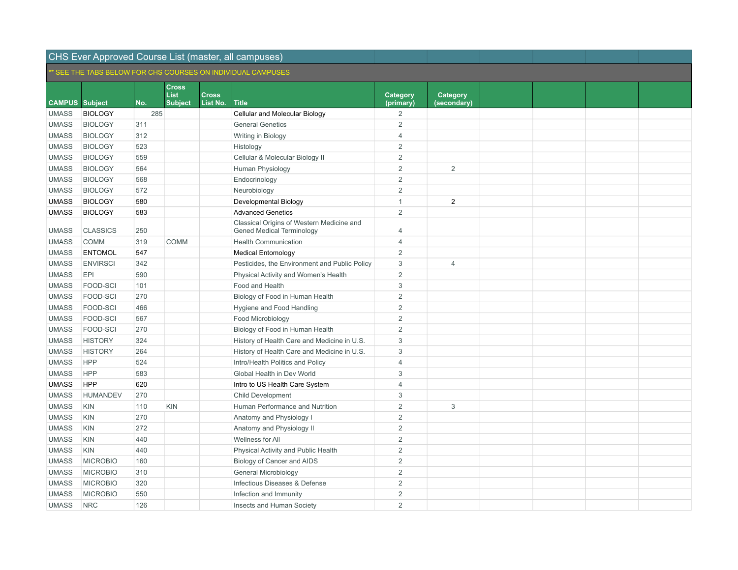|                       |                 |     |                             |              | OLE THE TABO BELOW FOR UND COURSES ON INDIVIDUAL CAMPUSES                     |                |                |  |  |
|-----------------------|-----------------|-----|-----------------------------|--------------|-------------------------------------------------------------------------------|----------------|----------------|--|--|
|                       |                 |     | <b>Cross</b><br><b>List</b> | <b>Cross</b> |                                                                               | Category       | Category       |  |  |
| <b>CAMPUS Subject</b> |                 | No. | <b>Subject</b>              | List No.     | <b>Title</b>                                                                  | (primary)      | (secondary)    |  |  |
| <b>UMASS</b>          | <b>BIOLOGY</b>  | 285 |                             |              | Cellular and Molecular Biology                                                | $\overline{2}$ |                |  |  |
| <b>UMASS</b>          | <b>BIOLOGY</b>  | 311 |                             |              | <b>General Genetics</b>                                                       | $\overline{2}$ |                |  |  |
| <b>UMASS</b>          | <b>BIOLOGY</b>  | 312 |                             |              | Writing in Biology                                                            | $\overline{4}$ |                |  |  |
| <b>UMASS</b>          | <b>BIOLOGY</b>  | 523 |                             |              | Histology                                                                     | $\overline{2}$ |                |  |  |
| <b>UMASS</b>          | <b>BIOLOGY</b>  | 559 |                             |              | Cellular & Molecular Biology II                                               | $\overline{2}$ |                |  |  |
| <b>UMASS</b>          | <b>BIOLOGY</b>  | 564 |                             |              | Human Physiology                                                              | $\overline{2}$ | 2              |  |  |
| <b>UMASS</b>          | <b>BIOLOGY</b>  | 568 |                             |              | Endocrinology                                                                 | $\overline{2}$ |                |  |  |
| <b>UMASS</b>          | <b>BIOLOGY</b>  | 572 |                             |              | Neurobiology                                                                  | $\overline{2}$ |                |  |  |
| <b>UMASS</b>          | <b>BIOLOGY</b>  | 580 |                             |              | Developmental Biology                                                         | $\mathbf{1}$   | $\overline{2}$ |  |  |
| <b>UMASS</b>          | <b>BIOLOGY</b>  | 583 |                             |              | <b>Advanced Genetics</b>                                                      | $\overline{2}$ |                |  |  |
| <b>UMASS</b>          | <b>CLASSICS</b> | 250 |                             |              | Classical Origins of Western Medicine and<br><b>Gened Medical Terminology</b> | $\overline{4}$ |                |  |  |
| <b>UMASS</b>          | COMM            | 319 | <b>COMM</b>                 |              | <b>Health Communication</b>                                                   | $\overline{4}$ |                |  |  |
| <b>UMASS</b>          | <b>ENTOMOL</b>  | 547 |                             |              | <b>Medical Entomology</b>                                                     | $\overline{2}$ |                |  |  |
| <b>UMASS</b>          | <b>ENVIRSCI</b> | 342 |                             |              | Pesticides, the Environment and Public Policy                                 | 3              | $\overline{4}$ |  |  |
| <b>UMASS</b>          | EPI             | 590 |                             |              | Physical Activity and Women's Health                                          | $\overline{2}$ |                |  |  |
| <b>UMASS</b>          | FOOD-SCI        | 101 |                             |              | Food and Health                                                               | 3              |                |  |  |
| <b>UMASS</b>          | FOOD-SCI        | 270 |                             |              | Biology of Food in Human Health                                               | $\overline{2}$ |                |  |  |
| <b>UMASS</b>          | FOOD-SCI        | 466 |                             |              | Hygiene and Food Handling                                                     | $\overline{2}$ |                |  |  |
| <b>UMASS</b>          | FOOD-SCI        | 567 |                             |              | Food Microbiology                                                             | $\overline{2}$ |                |  |  |
| <b>UMASS</b>          | FOOD-SCI        | 270 |                             |              | Biology of Food in Human Health                                               | $\overline{2}$ |                |  |  |
| <b>UMASS</b>          | <b>HISTORY</b>  | 324 |                             |              | History of Health Care and Medicine in U.S.                                   | $\mathbf{3}$   |                |  |  |
| <b>UMASS</b>          | <b>HISTORY</b>  | 264 |                             |              | History of Health Care and Medicine in U.S.                                   | 3              |                |  |  |
| <b>UMASS</b>          | <b>HPP</b>      | 524 |                             |              | Intro/Health Politics and Policy                                              | $\overline{4}$ |                |  |  |
| <b>UMASS</b>          | <b>HPP</b>      | 583 |                             |              | Global Health in Dev World                                                    | 3              |                |  |  |
| <b>UMASS</b>          | <b>HPP</b>      | 620 |                             |              | Intro to US Health Care System                                                | $\overline{4}$ |                |  |  |
| <b>UMASS</b>          | <b>HUMANDEV</b> | 270 |                             |              | <b>Child Development</b>                                                      | 3              |                |  |  |
| <b>UMASS</b>          | <b>KIN</b>      | 110 | <b>KIN</b>                  |              | Human Performance and Nutrition                                               | $\overline{2}$ | 3              |  |  |
| <b>UMASS</b>          | <b>KIN</b>      | 270 |                             |              | Anatomy and Physiology I                                                      | $\overline{2}$ |                |  |  |
| <b>UMASS</b>          | <b>KIN</b>      | 272 |                             |              | Anatomy and Physiology II                                                     | $\overline{2}$ |                |  |  |
| <b>UMASS</b>          | <b>KIN</b>      | 440 |                             |              | Wellness for All                                                              | $\overline{2}$ |                |  |  |
| <b>UMASS</b>          | <b>KIN</b>      | 440 |                             |              | Physical Activity and Public Health                                           | $\overline{2}$ |                |  |  |
| <b>UMASS</b>          | <b>MICROBIO</b> | 160 |                             |              | Biology of Cancer and AIDS                                                    | $\overline{2}$ |                |  |  |
| <b>UMASS</b>          | <b>MICROBIO</b> | 310 |                             |              | General Microbiology                                                          | $\sqrt{2}$     |                |  |  |
| <b>UMASS</b>          | <b>MICROBIO</b> | 320 |                             |              | Infectious Diseases & Defense                                                 | $\overline{2}$ |                |  |  |
| <b>UMASS</b>          | <b>MICROBIO</b> | 550 |                             |              | Infection and Immunity                                                        | $\overline{2}$ |                |  |  |
| <b>UMASS</b>          | <b>NRC</b>      | 126 |                             |              | Insects and Human Society                                                     | $\overline{2}$ |                |  |  |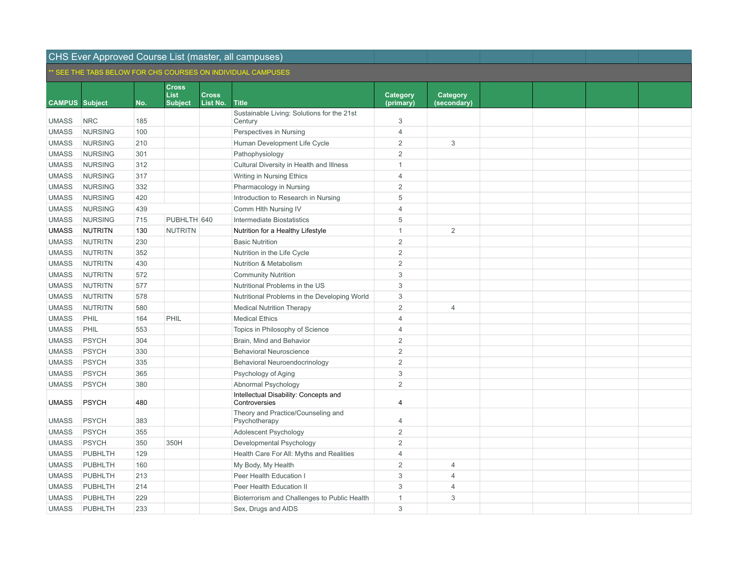| SEE THE TABS BELOW FOR CHS COURSES ON INDIVIDUAL CAMPUSES. |                |     |                             |              |                                                        |                 |                |  |  |
|------------------------------------------------------------|----------------|-----|-----------------------------|--------------|--------------------------------------------------------|-----------------|----------------|--|--|
|                                                            |                |     | <b>Cross</b><br><b>List</b> | <b>Cross</b> |                                                        | <b>Category</b> | Category       |  |  |
| <b>CAMPUS</b> Subject                                      |                | No. | <b>Subject</b>              | List No.     | <b>Title</b>                                           | (primary)       | (secondary)    |  |  |
|                                                            |                |     |                             |              | Sustainable Living: Solutions for the 21st             |                 |                |  |  |
| <b>UMASS</b>                                               | <b>NRC</b>     | 185 |                             |              | Century                                                | 3               |                |  |  |
| <b>UMASS</b>                                               | <b>NURSING</b> | 100 |                             |              | Perspectives in Nursing                                | $\overline{4}$  |                |  |  |
| <b>UMASS</b>                                               | <b>NURSING</b> | 210 |                             |              | Human Development Life Cycle                           | $\mathbf 2$     | 3              |  |  |
| <b>UMASS</b>                                               | <b>NURSING</b> | 301 |                             |              | Pathophysiology                                        | $\overline{2}$  |                |  |  |
| <b>UMASS</b>                                               | <b>NURSING</b> | 312 |                             |              | Cultural Diversity in Health and Illness               | $\mathbf{1}$    |                |  |  |
| <b>UMASS</b>                                               | <b>NURSING</b> | 317 |                             |              | Writing in Nursing Ethics                              | $\overline{4}$  |                |  |  |
| <b>UMASS</b>                                               | <b>NURSING</b> | 332 |                             |              | Pharmacology in Nursing                                | $\overline{2}$  |                |  |  |
| <b>UMASS</b>                                               | <b>NURSING</b> | 420 |                             |              | Introduction to Research in Nursing                    | 5               |                |  |  |
| <b>UMASS</b>                                               | <b>NURSING</b> | 439 |                             |              | Comm Hlth Nursing IV                                   | $\overline{4}$  |                |  |  |
| <b>UMASS</b>                                               | <b>NURSING</b> | 715 | PUBHLTH 640                 |              | <b>Intermediate Biostatistics</b>                      | 5               |                |  |  |
| <b>UMASS</b>                                               | <b>NUTRITN</b> | 130 | <b>NUTRITN</b>              |              | Nutrition for a Healthy Lifestyle                      | $\overline{1}$  | $\overline{2}$ |  |  |
| <b>UMASS</b>                                               | <b>NUTRITN</b> | 230 |                             |              | <b>Basic Nutrition</b>                                 | $\overline{2}$  |                |  |  |
| <b>UMASS</b>                                               | <b>NUTRITN</b> | 352 |                             |              | Nutrition in the Life Cycle                            | $\overline{2}$  |                |  |  |
| <b>UMASS</b>                                               | <b>NUTRITN</b> | 430 |                             |              | Nutrition & Metabolism                                 | $\overline{2}$  |                |  |  |
| <b>UMASS</b>                                               | <b>NUTRITN</b> | 572 |                             |              | <b>Community Nutrition</b>                             | 3               |                |  |  |
| <b>UMASS</b>                                               | <b>NUTRITN</b> | 577 |                             |              | Nutritional Problems in the US                         | 3               |                |  |  |
| <b>UMASS</b>                                               | <b>NUTRITN</b> | 578 |                             |              | Nutritional Problems in the Developing World           | 3               |                |  |  |
| <b>UMASS</b>                                               | <b>NUTRITN</b> | 580 |                             |              | <b>Medical Nutrition Therapy</b>                       | $\overline{2}$  | $\overline{4}$ |  |  |
| <b>UMASS</b>                                               | PHIL           | 164 | PHIL                        |              | <b>Medical Ethics</b>                                  | $\overline{4}$  |                |  |  |
| <b>UMASS</b>                                               | PHIL           | 553 |                             |              | Topics in Philosophy of Science                        | $\overline{4}$  |                |  |  |
| <b>UMASS</b>                                               | <b>PSYCH</b>   | 304 |                             |              | Brain, Mind and Behavior                               | $\overline{2}$  |                |  |  |
| <b>UMASS</b>                                               | <b>PSYCH</b>   | 330 |                             |              | <b>Behavioral Neuroscience</b>                         | 2               |                |  |  |
| <b>UMASS</b>                                               | <b>PSYCH</b>   | 335 |                             |              | Behavioral Neuroendocrinology                          | $\overline{2}$  |                |  |  |
| <b>UMASS</b>                                               | <b>PSYCH</b>   | 365 |                             |              | Psychology of Aging                                    | 3               |                |  |  |
| <b>UMASS</b>                                               | <b>PSYCH</b>   | 380 |                             |              | Abnormal Psychology                                    | $\overline{2}$  |                |  |  |
| <b>UMASS</b>                                               | <b>PSYCH</b>   | 480 |                             |              | Intellectual Disability: Concepts and<br>Controversies | 4               |                |  |  |
| <b>UMASS</b>                                               | <b>PSYCH</b>   | 383 |                             |              | Theory and Practice/Counseling and<br>Psychotherapy    | $\overline{4}$  |                |  |  |
| <b>UMASS</b>                                               | <b>PSYCH</b>   | 355 |                             |              | Adolescent Psychology                                  | $\overline{2}$  |                |  |  |
| <b>UMASS</b>                                               | <b>PSYCH</b>   | 350 | 350H                        |              | Developmental Psychology                               | $\overline{2}$  |                |  |  |
| <b>UMASS</b>                                               | <b>PUBHLTH</b> | 129 |                             |              | Health Care For All: Myths and Realities               | $\overline{4}$  |                |  |  |
| <b>UMASS</b>                                               | <b>PUBHLTH</b> | 160 |                             |              | My Body, My Health                                     | $\overline{2}$  | $\overline{4}$ |  |  |
| <b>UMASS</b>                                               | <b>PUBHLTH</b> | 213 |                             |              | Peer Health Education I                                | 3               | $\overline{4}$ |  |  |
| <b>UMASS</b>                                               | <b>PUBHLTH</b> | 214 |                             |              | Peer Health Education II                               | 3               | $\overline{4}$ |  |  |
| <b>UMASS</b>                                               | <b>PUBHLTH</b> | 229 |                             |              | Bioterrorism and Challenges to Public Health           | $\mathbf{1}$    | 3              |  |  |
| <b>UMASS</b>                                               | <b>PUBHLTH</b> | 233 |                             |              | Sex, Drugs and AIDS                                    | 3               |                |  |  |
|                                                            |                |     |                             |              |                                                        |                 |                |  |  |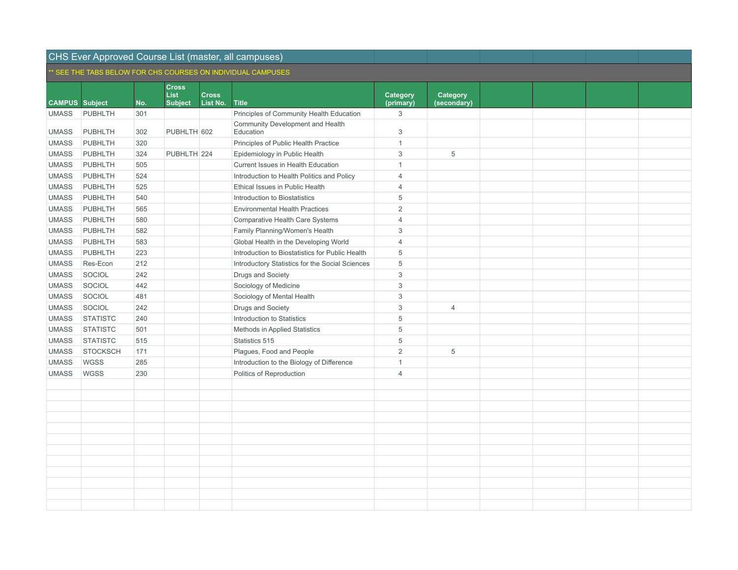|                       |                 |     |                             |              | SEE THE TABS BELOW FOR CHS COURSES ON INDIVIDUAL CAMPUSES. |                       |                |  |  |
|-----------------------|-----------------|-----|-----------------------------|--------------|------------------------------------------------------------|-----------------------|----------------|--|--|
|                       |                 |     | <b>Cross</b><br><b>List</b> | <b>Cross</b> |                                                            |                       | Category       |  |  |
| <b>CAMPUS</b> Subject |                 | No. | <b>Subject</b>              | List No.     | <b>Title</b>                                               | Category<br>(primary) | (secondary)    |  |  |
| <b>UMASS</b>          | <b>PUBHLTH</b>  | 301 |                             |              | Principles of Community Health Education                   | 3                     |                |  |  |
|                       |                 |     |                             |              | Community Development and Health                           |                       |                |  |  |
| <b>UMASS</b>          | <b>PUBHLTH</b>  | 302 | PUBHLTH 602                 |              | Education                                                  | 3                     |                |  |  |
| <b>UMASS</b>          | PUBHLTH         | 320 |                             |              | Principles of Public Health Practice                       | $\mathbf{1}$          |                |  |  |
| <b>UMASS</b>          | PUBHLTH         | 324 | PUBHLTH 224                 |              | Epidemiology in Public Health                              | 3                     | 5              |  |  |
| <b>UMASS</b>          | <b>PUBHLTH</b>  | 505 |                             |              | Current Issues in Health Education                         | $\mathbf{1}$          |                |  |  |
| <b>UMASS</b>          | PUBHLTH         | 524 |                             |              | Introduction to Health Politics and Policy                 | $\overline{4}$        |                |  |  |
| <b>UMASS</b>          | <b>PUBHLTH</b>  | 525 |                             |              | Ethical Issues in Public Health                            | $\overline{4}$        |                |  |  |
| <b>UMASS</b>          | <b>PUBHLTH</b>  | 540 |                             |              | Introduction to Biostatistics                              | 5                     |                |  |  |
| <b>UMASS</b>          | <b>PUBHLTH</b>  | 565 |                             |              | <b>Environmental Health Practices</b>                      | $\overline{2}$        |                |  |  |
| <b>UMASS</b>          | <b>PUBHLTH</b>  | 580 |                             |              | Comparative Health Care Systems                            | $\overline{4}$        |                |  |  |
| <b>UMASS</b>          | <b>PUBHLTH</b>  | 582 |                             |              | Family Planning/Women's Health                             | 3                     |                |  |  |
| <b>UMASS</b>          | <b>PUBHLTH</b>  | 583 |                             |              | Global Health in the Developing World                      | $\overline{4}$        |                |  |  |
| <b>UMASS</b>          | <b>PUBHLTH</b>  | 223 |                             |              | Introduction to Biostatistics for Public Health            | 5                     |                |  |  |
| <b>UMASS</b>          | Res-Econ        | 212 |                             |              | Introductory Statistics for the Social Sciences            | 5                     |                |  |  |
| <b>UMASS</b>          | SOCIOL          | 242 |                             |              | Drugs and Society                                          | 3                     |                |  |  |
| <b>UMASS</b>          | SOCIOL          | 442 |                             |              | Sociology of Medicine                                      | 3                     |                |  |  |
| <b>UMASS</b>          | SOCIOL          | 481 |                             |              | Sociology of Mental Health                                 | 3                     |                |  |  |
| <b>UMASS</b>          | SOCIOL          | 242 |                             |              | Drugs and Society                                          | 3                     | $\overline{4}$ |  |  |
| <b>UMASS</b>          | <b>STATISTC</b> | 240 |                             |              | Introduction to Statistics                                 | 5                     |                |  |  |
| <b>UMASS</b>          | <b>STATISTC</b> | 501 |                             |              | Methods in Applied Statistics                              | 5                     |                |  |  |
| <b>UMASS</b>          | <b>STATISTC</b> | 515 |                             |              | Statistics 515                                             | 5                     |                |  |  |
| <b>UMASS</b>          | <b>STOCKSCH</b> | 171 |                             |              | Plagues, Food and People                                   | $\overline{2}$        | 5              |  |  |
| <b>UMASS</b>          | <b>WGSS</b>     | 285 |                             |              | Introduction to the Biology of Difference                  | $\mathbf{1}$          |                |  |  |
| <b>UMASS</b>          | <b>WGSS</b>     | 230 |                             |              | Politics of Reproduction                                   | $\overline{4}$        |                |  |  |
|                       |                 |     |                             |              |                                                            |                       |                |  |  |
|                       |                 |     |                             |              |                                                            |                       |                |  |  |
|                       |                 |     |                             |              |                                                            |                       |                |  |  |
|                       |                 |     |                             |              |                                                            |                       |                |  |  |
|                       |                 |     |                             |              |                                                            |                       |                |  |  |
|                       |                 |     |                             |              |                                                            |                       |                |  |  |
|                       |                 |     |                             |              |                                                            |                       |                |  |  |
|                       |                 |     |                             |              |                                                            |                       |                |  |  |
|                       |                 |     |                             |              |                                                            |                       |                |  |  |
|                       |                 |     |                             |              |                                                            |                       |                |  |  |
|                       |                 |     |                             |              |                                                            |                       |                |  |  |
|                       |                 |     |                             |              |                                                            |                       |                |  |  |